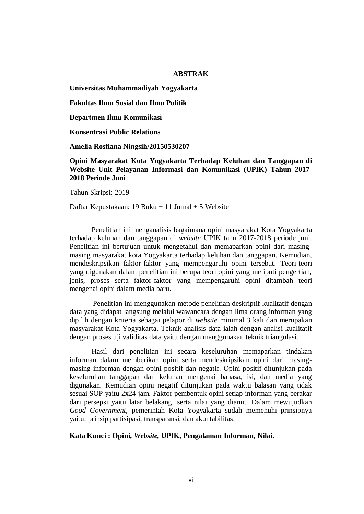## **ABSTRAK**

**Universitas Muhammadiyah Yogyakarta** 

**Fakultas Ilmu Sosial dan Ilmu Politik** 

**Departmen Ilmu Komunikasi** 

**Konsentrasi Public Relations** 

**Amelia Rosfiana Ningsih/20150530207**

**Opini Masyarakat Kota Yogyakarta Terhadap Keluhan dan Tanggapan di Website Unit Pelayanan Informasi dan Komunikasi (UPIK) Tahun 2017- 2018 Periode Juni**

Tahun Skripsi: 2019

Daftar Kepustakaan: 19 Buku + 11 Jurnal + 5 Website

Penelitian ini menganalisis bagaimana opini masyarakat Kota Yogyakarta terhadap keluhan dan tanggapan di *website* UPIK tahu 2017-2018 periode juni. Penelitian ini bertujuan untuk mengetahui dan memaparkan opini dari masingmasing masyarakat kota Yogyakarta terhadap keluhan dan tanggapan. Kemudian, mendeskripsikan faktor-faktor yang mempengaruhi opini tersebut. Teori-teori yang digunakan dalam penelitian ini berupa teori opini yang meliputi pengertian, jenis, proses serta faktor-faktor yang mempengaruhi opini ditambah teori mengenai opini dalam media baru.

Penelitian ini menggunakan metode penelitian deskriptif kualitatif dengan data yang didapat langsung melalui wawancara dengan lima orang informan yang dipilih dengan kriteria sebagai pelapor di *website* minimal 3 kali dan merupakan masyarakat Kota Yogyakarta. Teknik analisis data ialah dengan analisi kualitatif dengan proses uji validitas data yaitu dengan menggunakan teknik triangulasi.

Hasil dari penelitian ini secara keseluruhan memaparkan tindakan informan dalam memberikan opini serta mendeskripsikan opini dari masingmasing informan dengan opini positif dan negatif. Opini positif ditunjukan pada keseluruhan tanggapan dan keluhan mengenai bahasa, isi, dan media yang digunakan. Kemudian opini negatif ditunjukan pada waktu balasan yang tidak sesuai SOP yaitu 2x24 jam. Faktor pembentuk opini setiap informan yang berakar dari persepsi yaitu latar belakang, serta nilai yang dianut. Dalam mewujudkan *Good Government,* pemerintah Kota Yogyakarta sudah memenuhi prinsipnya yaitu: prinsip partisipasi, transparansi, dan akuntabilitas.

**Kata Kunci : Opini,** *Website,* **UPIK, Pengalaman Informan, Nilai.**